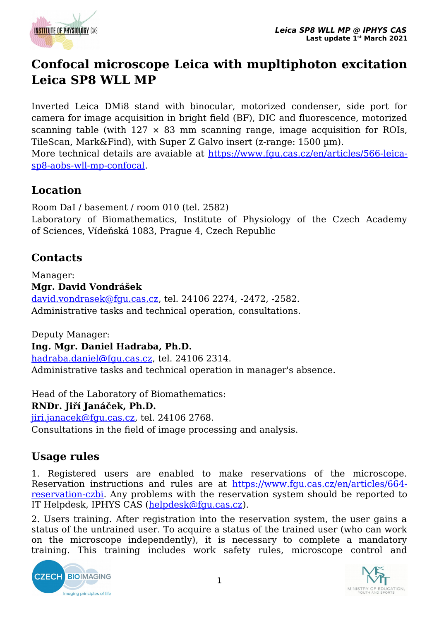

## **Confocal microscope Leica with mupltiphoton excitation Leica SP8 WLL MP**

Inverted Leica DMi8 stand with binocular, motorized condenser, side port for camera for image acquisition in bright field (BF), DIC and fluorescence, motorized scanning table (with  $127 \times 83$  mm scanning range, image acquisition for ROIs, TileScan, Mark&Find), with Super Z Galvo insert (z-range: 1500 µm).

More technical details are avaiable at [https://www.fgu.cas.cz/en/articles/566-leica](https://www.fgu.cas.cz/en/articles/566-leica-sp8-aobs-wll-mp-confocal)[sp8-aobs-wll-mp-confocal.](https://www.fgu.cas.cz/en/articles/566-leica-sp8-aobs-wll-mp-confocal)

## **Location**

Room DaI / basement / room 010 (tel. 2582) Laboratory of Biomathematics, Institute of Physiology of the Czech Academy of Sciences, Vídeňská 1083, Prague 4, Czech Republic

## **Contacts**

Manager: **Mgr. David Vondrášek** [david.vondrasek@fgu.cas.cz](mailto:david.vondrasek@fgu.cas.cz), tel. 24106 2274, -2472, -2582. Administrative tasks and technical operation, consultations.

Deputy Manager: **Ing. Mgr. Daniel Hadraba, Ph.D.** [hadraba.daniel@fgu.cas.cz,](mailto:hadraba.daniel@fgu.cas.cz) tel. 24106 2314. Administrative tasks and technical operation in manager's absence.

Head of the Laboratory of Biomathematics: **RNDr. Jiří Janáček, Ph.D.** [jiri.janacek@fgu.cas.cz](mailto:jiri.janacek@fgu.cas.cz), tel. 24106 2768. Consultations in the field of image processing and analysis.

## **Usage rules**

1. Registered users are enabled to make reservations of the microscope. Reservation instructions and rules are at [https://www.fgu.cas.cz/en/articles/664](https://www.fgu.cas.cz/en/articles/664-reservation-czbi) [reservation-czbi.](https://www.fgu.cas.cz/en/articles/664-reservation-czbi) Any problems with the reservation system should be reported to IT Helpdesk, IPHYS CAS ([helpdesk@fgu.cas.cz](mailto:helpdesk@fgu.cas.cz)).

2. Users training. After registration into the reservation system, the user gains a status of the untrained user. To acquire a status of the trained user (who can work on the microscope independently), it is necessary to complete a mandatory training. This training includes work safety rules, microscope control and